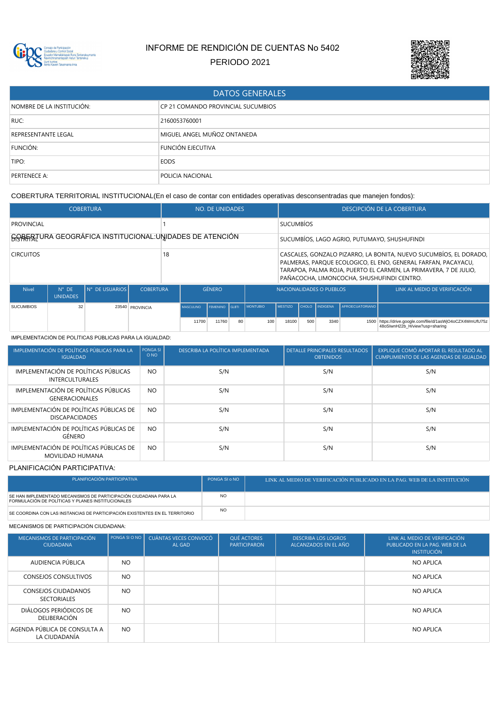

# INFORME DE RENDICIÓN DE CUENTAS No 5402

PERIODO 2021



| <b>DATOS GENERALES</b>     |                                    |  |  |  |  |  |
|----------------------------|------------------------------------|--|--|--|--|--|
| NOMBRE DE LA INSTITUCIÓN:  | CP 21 COMANDO PROVINCIAL SUCUMBIOS |  |  |  |  |  |
| RUC:                       | 2160053760001                      |  |  |  |  |  |
| <b>REPRESENTANTE LEGAL</b> | MIGUEL ANGEL MUÑOZ ONTANEDA        |  |  |  |  |  |
| FUNCIÓN:                   | <b>FUNCIÓN EJECUTIVA</b>           |  |  |  |  |  |
| TIPO:                      | <b>EODS</b>                        |  |  |  |  |  |
| PERTENECE A:               | <b>POLICIA NACIONAL</b>            |  |  |  |  |  |

COBERTURA TERRITORIAL INSTITUCIONAL(En el caso de contar con entidades operativas desconsentradas que manejen fondos):

|                  |                                   | <b>COBERTURA</b> |                  |                                                          | NO. DE UNIDADES  |                 |                  |                                                                                                                                                                                                                                                      | <b>DESCIPCIÓN DE LA COBERTURA</b> |     |                |                               |                                                                                        |
|------------------|-----------------------------------|------------------|------------------|----------------------------------------------------------|------------------|-----------------|------------------|------------------------------------------------------------------------------------------------------------------------------------------------------------------------------------------------------------------------------------------------------|-----------------------------------|-----|----------------|-------------------------------|----------------------------------------------------------------------------------------|
| PROVINCIAL       |                                   |                  |                  |                                                          |                  |                 | <b>SUCUMBÍOS</b> |                                                                                                                                                                                                                                                      |                                   |     |                |                               |                                                                                        |
|                  |                                   |                  |                  | GORERTURA GEOGRÁFICA INSTITUCIONAL: UNIDADES DE ATENCIÓN |                  |                 |                  | SUCUMBÍOS, LAGO AGRIO, PUTUMAYO, SHUSHUFINDI                                                                                                                                                                                                         |                                   |     |                |                               |                                                                                        |
| <b>CIRCUITOS</b> |                                   |                  |                  | 18                                                       |                  |                 |                  | CASCALES, GONZALO PIZARRO, LA BONITA, NUEVO SUCUMBÍOS, EL DORADO,<br>PALMERAS, PAROUE ECOLOGICO, EL ENO, GENERAL FARFAN, PACAYACU,<br>TARAPOA, PALMA ROJA, PUERTO EL CARMEN, LA PRIMAVERA, 7 DE JULIO,<br>PAÑACOCHA, LIMONCOCHA, SHUSHUFINDI CENTRO. |                                   |     |                |                               |                                                                                        |
| <b>Nivel</b>     | $N^{\circ}$ DE<br><b>UNIDADES</b> | N° DE USUARIOS   | <b>COBERTURA</b> |                                                          |                  | <b>GÉNERO</b>   |                  |                                                                                                                                                                                                                                                      | NACIONALIDADES O PUEBLOS          |     |                | LINK AL MEDIO DE VERIFICACIÓN |                                                                                        |
| <b>SUCUMBIOS</b> | 32                                |                  | 23540 PROVINCIA  |                                                          | <b>MASCULINO</b> | <b>FEMENINO</b> | <b>GLBTI</b>     | <b>MONTUBIO</b>                                                                                                                                                                                                                                      | <b>MESTIZO</b>                    |     | CHOLO INDIGENA | <b>AFROECUATORIANO</b>        |                                                                                        |
|                  |                                   |                  |                  |                                                          | 11700            | 11760           | 80               | 100                                                                                                                                                                                                                                                  | 18100                             | 500 | 3340           | 1500                          | https://drive.google.com/file/d/1asWjO4oCZX4WmUfU75z<br>48oSIwnH22b H/view?usp=sharing |

## IMPLEMENTACIÓN DE POLÍTICAS PÚBLICAS PARA LA IGUALDAD:

| IMPLEMENTACIÓN DE POLÍTICAS PÚBLICAS PARA LA<br><b>IGUALDAD</b>  | PONGA SI<br>O <sub>NO</sub> | DESCRIBA LA POLÍTICA IMPLEMENTADA | <b>DETALLE PRINCIPALES RESULTADOS</b><br><b>OBTENIDOS</b> | EXPLIQUE COMÓ APORTAR EL RESULTADO AL<br>CUMPLIMIENTO DE LAS AGENDAS DE IGUALDAD |
|------------------------------------------------------------------|-----------------------------|-----------------------------------|-----------------------------------------------------------|----------------------------------------------------------------------------------|
| IMPLEMENTACIÓN DE POLÍTICAS PÚBLICAS<br><b>INTERCULTURALES</b>   | <b>NO</b>                   | S/N                               | S/N                                                       | S/N                                                                              |
| IMPLEMENTACIÓN DE POLÍTICAS PÚBLICAS<br><b>GENERACIONALES</b>    | <b>NO</b>                   | S/N                               | S/N                                                       | S/N                                                                              |
| IMPLEMENTACIÓN DE POLÍTICAS PÚBLICAS DE<br><b>DISCAPACIDADES</b> | <b>NO</b>                   | S/N                               | S/N                                                       | S/N                                                                              |
| IMPLEMENTACIÓN DE POLÍTICAS PÚBLICAS DE<br>GÉNERO                | <b>NO</b>                   | S/N                               | S/N                                                       | S/N                                                                              |
| IMPLEMENTACIÓN DE POLÍTICAS PÚBLICAS DE<br>MOVILIDAD HUMANA      | NO.                         | S/N                               | S/N                                                       | S/N                                                                              |

## PLANIFICACIÓN PARTICIPATIVA:

| PLANIFICACIÓN PARTICIPATIVA                                                                                            | PONGA SI o NO | LINK AL MEDIO DE VERIFICACIÓN PUBLICADO EN LA PAG. WEB DE LA INSTITUCIÓN |
|------------------------------------------------------------------------------------------------------------------------|---------------|--------------------------------------------------------------------------|
| SE HAN IMPLEMENTADO MECANISMOS DE PARTICIPACIÓN CIUDADANA PARA LA<br>FORMULACIÓN DE POLÍTICAS Y PLANES INSTITUCIONALES | <b>NO</b>     |                                                                          |
| SE COORDINA CON LAS INSTANCIAS DE PARTICIPACIÓN EXISTENTES EN EL TERRITORIO                                            | <b>NO</b>     |                                                                          |

## MECANISMOS DE PARTICIPACIÓN CIUDADANA:

| MECANISMOS DE PARTICIPACIÓN<br><b>CIUDADANA</b>  | PONGA SI O NO | CUÁNTAS VECES CONVOCÓ<br>AL GAD | QUÉ ACTORES<br><b>PARTICIPARON</b> | <b>DESCRIBA LOS LOGROS</b><br>ALCANZADOS EN EL AÑO | LINK AL MEDIO DE VERIFICACIÓN<br>PUBLICADO EN LA PAG. WEB DE LA<br><b>INSTITUCIÓN</b> |
|--------------------------------------------------|---------------|---------------------------------|------------------------------------|----------------------------------------------------|---------------------------------------------------------------------------------------|
| AUDIENCIA PÚBLICA                                | NO.           |                                 |                                    |                                                    | <b>NO APLICA</b>                                                                      |
| <b>CONSEJOS CONSULTIVOS</b>                      | NO.           |                                 |                                    |                                                    | NO APLICA                                                                             |
| <b>CONSEJOS CIUDADANOS</b><br><b>SECTORIALES</b> | <b>NO</b>     |                                 |                                    |                                                    | NO APLICA                                                                             |
| DIÁLOGOS PERIÓDICOS DE<br>DELIBERACIÓN           | NO.           |                                 |                                    |                                                    | NO APLICA                                                                             |
| AGENDA PÚBLICA DE CONSULTA A<br>LA CIUDADANÍA    | NO.           |                                 |                                    |                                                    | NO APLICA                                                                             |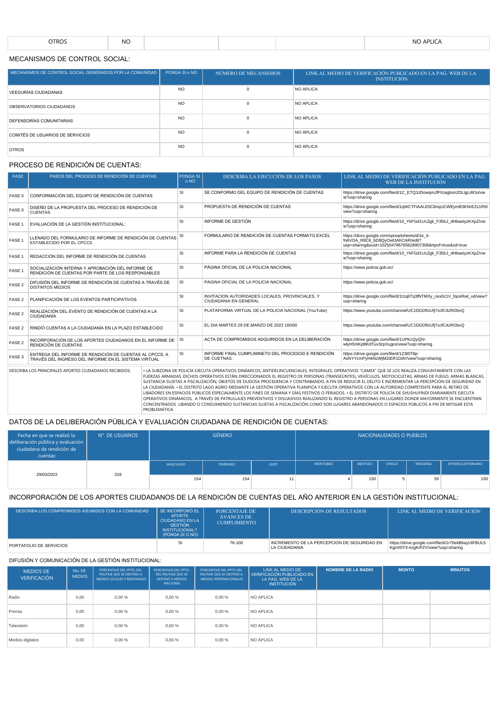|--|

## MECANISMOS DE CONTROL SOCIAL:

| MECANISMOS DE CONTROL SOCIAL GENERADOS POR LA COMUNIDAD | PONGA SI o NO   | NÚMERO DE MECANISMOS | LINK AL MEDIO DE VERIFICACIÓN PUBLICADO EN LA PAG. WEB DE LA<br><b>INSTITUCIÓN</b> |
|---------------------------------------------------------|-----------------|----------------------|------------------------------------------------------------------------------------|
| VEEDURÍAS CIUDADANAS                                    | <b>NO</b>       |                      | NO APLICA                                                                          |
| OBSERVATORIOS CIUDADANOS                                | NO <sub>1</sub> |                      | NO APLICA                                                                          |
| <b>DEFENSORÍAS COMUNITARIAS</b>                         | <b>NO</b>       |                      | NO APLICA                                                                          |
| COMITÉS DE USUARIOS DE SERVICIOS                        | <b>NO</b>       |                      | NO APLICA                                                                          |
| <b>OTROS</b>                                            | <b>NO</b>       |                      | NO APLICA                                                                          |

## PROCESO DE RENDICIÓN DE CUENTAS:

| <b>FASE</b>       | PASOS DEL PROCESO DE RENDICIÓN DE CUENTAS                                                                       | <b>PONGA SI</b><br>o NO | DESCRIBA LA EJECUCIÓN DE LOS PASOS                                                                                                                 | LINK AL MEDIO DE VERIFICACIÓN PUBLICADO EN LA PAG.<br>WEB DE LA INSTITUCIÓN                                                                     |
|-------------------|-----------------------------------------------------------------------------------------------------------------|-------------------------|----------------------------------------------------------------------------------------------------------------------------------------------------|-------------------------------------------------------------------------------------------------------------------------------------------------|
| FASE 0            | CONFORMACIÓN DEL EQUIPO DE RENDICIÓN DE CUENTAS                                                                 | <b>SI</b>               | SE CONFORMO DEL EQUIPO DE RENDICIÓN DE CUENTAS                                                                                                     | https://drive.google.com/file/d/1C_ETQ3JDowqmJfFIUagbon2DLlgLi8Oo/vie<br>w?usp=sharing                                                          |
| FASE 0            | DISEÑO DE LA PROPUESTA DEL PROCESO DE RENDICIÓN DE<br><b>CUENTAS</b>                                            |                         | PROPUESTA DE RENDICIÓN DE CUENTAS                                                                                                                  | https://drive.google.com/file/d/1qWCTFiAALE0C8nqUCWEymB3KNrEZx1R9/<br>view?usp=sharing                                                          |
| FASE 1            | EVALUACIÓN DE LA GESTIÓN INSTITUCIONAL:                                                                         | SI                      | <b>INFORME DE GESTIÓN</b>                                                                                                                          | https://drive.google.com/file/d/10 YkFGd1UcZgk F35bJ dH6aelyzKXpZ/vie<br>w?usp=sharing                                                          |
| FASE <sub>1</sub> | LLENADO DEL FORMULARIO DE INFORME DE RENDICIÓN DE CUENTAS<br><b>ESTABLECIDO POR EL CPCCS</b>                    | SI                      | FORMULARIO DE RENDICIÓN DE CUENTAS FORMATO EXCEL                                                                                                   | https://docs.google.com/spreadsheets/d/1e_it-<br>fn6VOA R8C6 bD8QyOwfJAhCrkR/edit?<br>usp=sharing&ouid=102504796765628907308&rtpof=true&sd=true |
| FASE 1            | REDACCIÓN DEL INFORME DE RENDICIÓN DE CUENTAS                                                                   | SI                      | INFORME PARA LA RENDICIÓN DE CUENTAS                                                                                                               | https://drive.google.com/file/d/10 YkFGd1UcZgk F35bJ dH6aelyzKXpZ/vie<br>w?usp=sharing                                                          |
| FASE <sub>1</sub> | SOCIALIZACIÓN INTERNA Y APROBACIÓN DEL INFORME DE<br>RENDICIÓN DE CUENTAS POR PARTE DE LOS RESPONSABLES         | <b>SI</b>               | PÁGINA OFICIAL DE LA POLICIA NACIONAL                                                                                                              | https://www.policia.gob.ec/                                                                                                                     |
| FASE 2            | <b>SI</b><br>DIFUSIÓN DEL INFORME DE RENDICIÓN DE CUENTAS A TRAVÉS DE<br><b>DISTINTOS MEDIOS</b>                |                         | PAGINA OFICIAL DE LA POLICIA NACIONAL                                                                                                              | https://www.policia.gob.ec/                                                                                                                     |
| FASE <sub>2</sub> | PLANIFICACIÓN DE LOS EVENTOS PARTICIPATIVOS                                                                     |                         | INVITACION AUTORIDADES LOCALES, PROVINCIALES, Y<br>CIUDADANIA EN GENERAL.                                                                          | https://drive.google.com/file/d/1t1q6Tq3fNTMXy cex0c1V fqceRwt vd/view?<br>usp=sharing                                                          |
| FASE 2            | REALIZACIÓN DEL EVENTO DE RENDICIÓN DE CUENTAS A LA<br>CIUDADANÍA                                               |                         | PLATAFORMA VIRTUAL DE LA POLICIA NACIONAL (YouTube)                                                                                                | https://www.youtube.com/channel/UC1DGDflcUfj7xcfC4zRObvQ                                                                                        |
| FASE 2            | RINDIÓ CUENTAS A LA CIUDADANÍA EN LA PLAZO ESTABLECIDO                                                          |                         | EL DIA MARTES 29 DE MARZO DE 2022 16H00                                                                                                            | https://www.youtube.com/channel/UC1DGDflcUfj7xcfC4zRObvQ                                                                                        |
| FASE 2            | INCORPORACIÓN DE LOS APORTES CIUDADANOS EN EL INFORME DE<br>RENDICIÓN DE CUENTAS                                |                         | ACTA DE COMPROMISOS ADQUIRIDOS EN LA DELIBERACIÓN                                                                                                  | https://drive.google.com/file/d/1UPKcQyQhl-<br>wlyH5mKpBKdTuv3zpXugce/view?usp=sharing                                                          |
| FASE 3            | ENTREGA DEL INFORME DE RENDICIÓN DE CUENTAS AL CPCCS, A<br>TRAVÉS DEL INGRESO DEL INFORME EN EL SISTEMA VIRTUAL |                         | INFORME FINAL CUMPLIMINETO DEL PROCESOD E RENDICIÓN<br>DE CUETNAS.                                                                                 | https://drive.google.com/file/d/1Z3I0T8p-<br>AsNYYcmPyH4NzWjMZiER1DdV/view?usp=sharing                                                          |
|                   | DESCRIBA LOS PRINCIPALES APORTES CIUDADANOS RECIBIDOS:                                                          |                         | • LA SUBZONA DE POLICÍA EJECUTA OPERATIVOS DINÁMICOS, ANTIDELINCUENCIALES, INTEGRALES, OPERATIVOS "CAMEX" OUE SE LOS REALIZA CONJUNTAMENTE CON LAS |                                                                                                                                                 |

DESCRIBA LOS PRINCIPALES APORTES CIUDADANOS RECIBIDOS: LA SUBZONA DE POLICIA EJECUTA OPERATIVOS DINAMICOS, ANTIDELINCUENCIALES, INTEGRALES, OPERATIVOS "CAMEX" QUE SE LOS REALIZA CONJUNTAMENTE CON LAS FUERZAS ARMADAS. DICHA LIBADORES EN ESPACIOS PUBLICOS ESPECIALMENTE LOS FINES DE SEMANA Y DIAS FESTIVOS O FERIADOS. • EL DISTRITO DE POLICIA DE SHUSHUFINDI DIARIAMENTE EJECUTA<br>OPERATIVOS DINÁMICOS, A TRAVÉS DE PATRULLAJES PREVENTIVOS Y DISUASIVO PROBLEMÁTICA.

## DATOS DE LA DELIBERACIÓN PÚBLICA Y EVALUACIÓN CIUDADANA DE RENDICIÓN DE CUENTAS:

| Fecha en que se realizó la<br>deliberación pública y evaluación<br>ciudadana de rendición de<br>cuentas: | N° DE USUARIOS |           |                 |              | NACIONALIDADES O PUEBLOS |                |       |                 |                 |
|----------------------------------------------------------------------------------------------------------|----------------|-----------|-----------------|--------------|--------------------------|----------------|-------|-----------------|-----------------|
|                                                                                                          |                | MASCULINO | <b>FEMENINO</b> | <b>GLBTI</b> | <b>MONTUBIO</b>          | <b>MESTIZO</b> | CHOLO | <b>INDIGENA</b> | AFROECUATORIANO |
| 29/03/2022                                                                                               | 319            | 154       | 154             | 11           |                          | 150            |       | 50              | 100             |

## INCORPORACIÓN DE LOS APORTES CIUDADANOS DE LA RENDICIÓN DE CUENTAS DEL AÑO ANTERIOR EN LA GESTIÓN INSTITUCIONAL:

| DESCRIBA LOS COMPROMISOS ASUMIDOS CON LA COMUNIDAD | $\overline{ }$ SE INCORPORÓ EL<br><b>APORTE</b><br>CIUDADANO EN LA<br><b>GESTIÓN</b><br><b>INSTITUCIONAL?</b><br>(PONGA SÍ O NO) | PORCENTAJE DE<br>AVANCES DE<br><b>CUMPLIMIENTO</b> | DESCRIPCION DE RESULTADOS                                    | LINK AL MEDIO DE VERIFICACIÓN                                                          |
|----------------------------------------------------|----------------------------------------------------------------------------------------------------------------------------------|----------------------------------------------------|--------------------------------------------------------------|----------------------------------------------------------------------------------------|
| PORTAFOLIO DE SERVICIOS                            | -SI                                                                                                                              | 76-100                                             | INCREMENTO DE LA PERCEPCION DE SEGURIDAD EN<br>LA CIUDADANIA | https://drive.google.com/file/d/1r70ekBbayUtFBUL5<br>KgnX0Y3-nzgKiPZV/view?usp=sharing |

#### DIFUSIÓN Y COMUNICACIÓN DE LA GESTIÓN INSTITUCIONAL:

| <b>MEDIOS DE</b><br><b>VERIFICACIÓN</b> | No. DE<br><b>MEDIOS</b> | PORCENTAJE DEL PPTO. DEL<br>PAUTAJE QUE SE DESTINO A<br>MEDIOS LOCALES Y REGIONALES | PORCENTAJE DEL PPTO.<br>DEL PAUTAJE QUE SE<br><b>DESTINÓ A MEDIOS</b><br>NACIONAL | PORCENTAJE DEL PPTO DEL<br>PAUTAJE QUE SE DESTINO A<br>MEDIOS INTERNACIONALES | LINK AL MEDIO DE<br>VERIFICACIÓN PUBLICADO EN 1<br>LA PAG. WEB DE LA.<br><b>INSTITUCIÓN</b> | <b>NOMBRE DE LA RADIO</b> | <b>MONTO</b> | <b>MINUTOS</b> |
|-----------------------------------------|-------------------------|-------------------------------------------------------------------------------------|-----------------------------------------------------------------------------------|-------------------------------------------------------------------------------|---------------------------------------------------------------------------------------------|---------------------------|--------------|----------------|
| Radio                                   | 0.00                    | 0,00%                                                                               | 0,00%                                                                             | 0,00%                                                                         | NO APLICA                                                                                   |                           |              |                |
| Prensa                                  | 0.00                    | $0.00 \%$                                                                           | $0.00 \%$                                                                         | 0.00%                                                                         | NO APLICA                                                                                   |                           |              |                |
| Televisión                              | 0.00                    | 0,00%                                                                               | 0,00%                                                                             | 0,00%                                                                         | NO APLICA                                                                                   |                           |              |                |
| Medios digitales                        | 0,00                    | 0,00%                                                                               | 0,00%                                                                             | 0,00%                                                                         | NO APLICA                                                                                   |                           |              |                |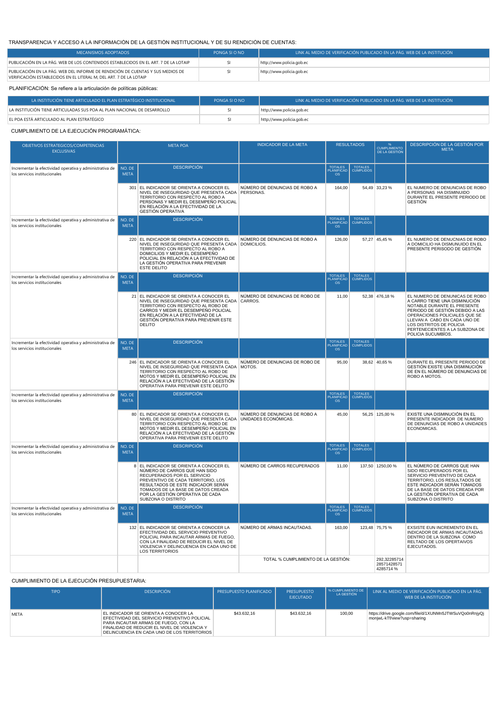## TRANSPARENCIA Y ACCESO A LA INFORMACIÓN DE LA GESTIÓN INSTITUCIONAL Y DE SU RENDICIÓN DE CUENTAS:

| MECANISMOS ADOPTADOS                                                                                                                                 | PONGA SI O NO | LINK AL MEDIO DE VERIFICACIÓN PUBLICADO EN LA PÁG. WEB DE LA INSTITUCIÓN |  |  |  |  |  |  |
|------------------------------------------------------------------------------------------------------------------------------------------------------|---------------|--------------------------------------------------------------------------|--|--|--|--|--|--|
| PUBLICACIÓN EN LA PÁG. WEB DE LOS CONTENIDOS ESTABLECIDOS EN EL ART. 7 DE LA LOTAIP                                                                  |               | http://www.policia.gob.ec                                                |  |  |  |  |  |  |
| PUBLICACIÓN EN LA PÁG. WEB DEL INFORME DE RENDICIÓN DE CUENTAS Y SUS MEDIOS DE<br>VERIFICACIÓN ESTABLECIDOS EN EL LITERAL M. DEL ART. 7 DE LA LOTAIP |               | http://www.policia.gob.ec                                                |  |  |  |  |  |  |
| PLANIFICACIÓN: Se refiere a la articulación de políticas públicas:                                                                                   |               |                                                                          |  |  |  |  |  |  |

| LA INSTITUCIÓN TIENE ARTICULADO EL PLAN ESTRATÉGICO INSTITUCIONAL          | PONGA SI O NO | LLINK AL MEDIO DE VERIFICACIÓN PUBLICADO EN LA PÁG. WEB DE LA INSTITUCIÓN |
|----------------------------------------------------------------------------|---------------|---------------------------------------------------------------------------|
| I LA INSTITUCIÓN TIENE ARTICULADAS SUS POA AL PLAN NACIONAL DE DESARROLLO. |               | http://www.policia.gob.ec                                                 |
| EL POA ESTÁ ARTICULADO AL PLAN ESTRATÉGICO                                 | SI            | http://www.policia.gob.ec                                                 |

## CUMPLIMIENTO DE LA EJECUCIÓN PROGRAMÁTICA:

| OBJETIVOS ESTRATEGICOS/COMPETENCIAS<br><b>EXCLUSIVAS</b>                                  | <b>META POA</b>       |                                                                                                                                                                                                                                                                                    | <b>INDICADOR DE LA META</b>         | <b>RESULTADOS</b>                                             |                                    | CUMPLIMIENTO<br>DE LA GESTIÓN            | DESCRIPCIÓN DE LA GESTIÓN POR<br><b>META</b>                                                                                                                                                                                                                                           |
|-------------------------------------------------------------------------------------------|-----------------------|------------------------------------------------------------------------------------------------------------------------------------------------------------------------------------------------------------------------------------------------------------------------------------|-------------------------------------|---------------------------------------------------------------|------------------------------------|------------------------------------------|----------------------------------------------------------------------------------------------------------------------------------------------------------------------------------------------------------------------------------------------------------------------------------------|
| Incrementar la efectividad operativa y administrativa de<br>los servicios institucionales | NO. DE<br><b>MFTA</b> | <b>DESCRIPCIÓN</b>                                                                                                                                                                                                                                                                 |                                     | <b>TOTALES</b><br>PLANIFICAD                                  | TOTALES<br>CUMPLIDOS               |                                          |                                                                                                                                                                                                                                                                                        |
|                                                                                           |                       | 301 EL INDICADOR SE ORIENTA A CONOCER EL<br>NIVEL DE INSEGURIDAD QUE PRESENTA CADA PERSONAS.<br>TERRITORIO CON RESPECTO AL ROBO A<br>PERSONAS Y MEDIR EL DESEMPEÑO POLICIAL<br>EN RELACIÓN A LA EFECTIVIDAD DE LA<br><b>GESTIÓN OPERATIVA</b>                                      | NÚMERO DE DENUNCIAS DE ROBO A       | 164,00                                                        |                                    | 54,49 33,23 %                            | EL NUMERO DE DENUNCIAS DE ROBO<br>A PERSONAS HA DISMINUIDO<br>DURANTE EL PRESENTE PERIODO DE<br><b>GESTIÓN</b>                                                                                                                                                                         |
| Incrementar la efectividad operativa y administrativa de<br>los servicios institucionales | NO. DE<br><b>MFTA</b> | <b>DESCRIPCIÓN</b>                                                                                                                                                                                                                                                                 |                                     | <b>TOTALES</b><br>PLANIFICAD<br><b>OS</b>                     | TOTALES<br>CUMPLIDOS               |                                          |                                                                                                                                                                                                                                                                                        |
|                                                                                           |                       | 220 EL INDICADOR SE ORIENTA A CONOCER EL<br>NIVEL DE INSEGURIDAD QUE PRESENTA CADA DOMICILIOS.<br>TERRITORIO CON RESPECTO AL ROBO A<br>DOMICILIOS Y MEDIR EL DESEMPEÑO<br>POLICIAL EN RELACIÓN A LA EFECTIVIDAD DE<br>LA GESTIÓN OPERATIVA PARA PREVENIR<br><b>ESTE DELITO</b>     | NÚMERO DE DENUNCIAS DE ROBO A       | 126,00                                                        |                                    | 57,27 45,45 %                            | EL NUMERO DE DENUCNIAS DE ROBO<br>A DOMICILIO HA DISMUNUIDO EN EL<br>PRESENTE PERISODO DE GESTIÓN                                                                                                                                                                                      |
| Incrementar la efectividad operativa y administrativa de<br>los servicios institucionales | NO. DE<br><b>META</b> | <b>DESCRIPCIÓN</b>                                                                                                                                                                                                                                                                 |                                     | <b>TOTALES</b><br><b>PLANIFICAD</b><br>$\overline{\text{os}}$ | TOTALES<br>CUMPLIDOS               |                                          |                                                                                                                                                                                                                                                                                        |
|                                                                                           |                       | 21 EL INDICADOR SE ORIENTA A CONOCER EL<br>NIVEL DE INSEGURIDAD QUE PRESENTA CADA CARROS.<br>TERRITORIO CON RESPECTO AL ROBO DE<br>CARROS Y MEDIR EL DESEMPEÑO POLICIAL<br>EN RELACIÓN A LA EFECTIVIDAD DE LA<br>GESTIÓN OPERATIVA PARA PREVENIR ESTE<br><b>DELITO</b>             | NÚMERO DE DENUNCIAS DE ROBO DE      | 11,00                                                         |                                    | 52,38 476,18 %                           | EL NUMERO DE DENUNICAS DE ROBO<br>A CARRO TIENE UNA DISMINUCIÓN<br>NOTABLE DURANTE EL PRESENTE<br>PERIODO DE GESTIÓN DEBIDO A LAS<br>OPERACIONES POLICIALES QUE SE<br>LLEVAN A CABO EN CADA UNO DE<br>LOS DISTRITOS DE POLICIA<br>PERTENECIENTES A LA SUBZONA DE<br>POLICIA SUCUMBÍOS. |
| Incrementar la efectividad operativa y administrativa de<br>los servicios institucionales | NO. DE<br><b>MFTA</b> | <b>DESCRIPCIÓN</b>                                                                                                                                                                                                                                                                 |                                     | <b>TOTALES</b><br>PLANIFICAD<br><b>OS</b>                     | TOTALES<br>CUMPLIDOS               |                                          |                                                                                                                                                                                                                                                                                        |
|                                                                                           |                       | 246 EL INDICADOR SE ORIENTA A CONOCER EL<br>NIVEL DE INSEGURIDAD QUE PRESENTA CADA MOTOS.<br>TERRITORIO CON RESPECTO AL ROBO DE<br>MOTOS Y MEDIR EL DESEMPEÑO POLICIAL EN<br>RELACIÓN A LA EFECTIVIDAD DE LA GESTIÓN<br>OPERATIVA PARA PREVENIR ESTE DELITO                        | NÚMERO DE DENUNCIAS DE ROBO DE      | 95,00                                                         |                                    | 38,62 40,65 %                            | DURANTE EL PRESENTE PERIODO DE<br>GESTIÓN EXISTE UNA DISMINUCIÓN<br>DE EN EL NÚMERO DE DENUNCIAS DE<br>ROBO A MOTOS.                                                                                                                                                                   |
| Incrementar la efectividad operativa y administrativa de<br>los servicios institucionales | NO. DE<br><b>MFTA</b> | <b>DESCRIPCIÓN</b>                                                                                                                                                                                                                                                                 |                                     | <b>FOTALES</b><br><b>PLANIFICAD</b><br><b>OS</b>              | TOTALES<br>CUMPLIDOS               |                                          |                                                                                                                                                                                                                                                                                        |
|                                                                                           |                       | 80 EL INDICADOR SE ORIENTA A CONOCER EL<br>NIVEL DE INSEGURIDAD QUE PRESENTA CADA UNIDADES ECONÓMICAS.<br>TERRITORIO CON RESPECTO AL ROBO DE<br>MOTOS Y MEDIR EL DESEMPEÑO POLICIAL EN<br>RELACIÓN A LA EFECTIVIDAD DE LA GESTIÓN<br>OPERATIVA PARA PREVENIR ESTE DELITO           | NÚMERO DE DENUNCIAS DE ROBO A       | 45,00                                                         |                                    | 56,25 125,00 %                           | EXISTE UNA DISMINUCIÓN EN EL<br>PRESENTE INDICADOR DE NUMERO<br>DE DENUNCIAS DE ROBO A UNIDADES<br>ECONOMICAS.                                                                                                                                                                         |
| Incrementar la efectividad operativa y administrativa de<br>los servicios institucionales | NO. DE<br><b>MFTA</b> | <b>DESCRIPCIÓN</b>                                                                                                                                                                                                                                                                 |                                     | <b>TOTALES</b><br><b>PLANIFICAD</b><br><b>OS</b>              | TOTALES<br>CUMPLIDOS               |                                          |                                                                                                                                                                                                                                                                                        |
|                                                                                           |                       | 8 EL INDICADOR SE ORIENTA A CONOCER EL<br>NÚMERO DE CARROS QUE HAN SIDO<br>RECUPERADOS POR EL SERVICIO<br>PREVENTIVO DE CADA TERRITORIO, LOS<br>RESULTADOS DE ESTE INDICADOR SERÁN<br>TOMADOS DE LA BASE DE DATOS CREADA<br>POR LA GESTIÓN OPERATIVA DE CADA<br>SUBZONA O DISTRITO | NÚMERO DE CARROS RECUPERADOS        | 11,00                                                         |                                    | 137,50 1250,00 %                         | EL NÚMERO DE CARROS QUE HAN<br>SIDO RECUPERADOS POR EL<br>SERVICIO PREVENTIVO DE CADA<br>TERRITORIO, LOS RESULTADOS DE<br>ESTE INDICADOR SERÁN TOMADOS<br>DE LA BASE DE DATOS CREADA POR<br>LA GESTIÓN OPERATIVA DE CADA<br>SUBZONA O DISTRITO                                         |
| Incrementar la efectividad operativa y administrativa de<br>los servicios institucionales | NO. DE<br><b>MFTA</b> | <b>DESCRIPCIÓN</b>                                                                                                                                                                                                                                                                 |                                     | <b>TOTALES</b><br>PLANIFICAD<br>OS                            | <b>TOTALES</b><br><b>CUMPLIDOS</b> |                                          |                                                                                                                                                                                                                                                                                        |
|                                                                                           |                       | 132 EL INDICADOR SE ORIENTA A CONOCER LA<br>EFECTIVIDAD DEL SERVICIO PREVENTIVO<br>POLICIAL PARA INCAUTAR ARMAS DE FUEGO.<br>CON LA FINALIDAD DE REDUCIR EL NIVEL DE<br>VIOLENCIA Y DELINCUENCIA EN CADA UNO DE<br><b>LOS TERRITORIOS</b>                                          | NÚMERO DE ARMAS INCAUTADAS.         | 163,00                                                        |                                    | 123,48 75,75 %                           | EXSISTE EUN INCREMENTO EN EL<br>INDICADOR DE ARMAS INCAUTADAS<br>DENTRO DE LA SUBZONA COMO<br>RELTADO DE LOS OPERTAIVOS<br>EJECUTADOS.                                                                                                                                                 |
|                                                                                           |                       |                                                                                                                                                                                                                                                                                    | TOTAL % CUMPLIMIENTO DE LA GESTIÓN: |                                                               |                                    | 292,32285714<br>28571428571<br>4285714 % |                                                                                                                                                                                                                                                                                        |

## CUMPLIMIENTO DE LA EJECUCIÓN PRESUPUESTARIA:

| <b>TIPO</b> | <b>DESCRIPCIÓN</b>                                                                                                                                                                                                          | <b>PRESUPUESTO PLANIFICADO</b> | <b>PRESUPUESTO</b><br><b>EJECUTADO</b> | % CUMPLIMIENTO DE<br>LA GESTIÓN | LINK AL MEDIO DE VERIFICACIÓN PUBLICADO EN LA PÁG.<br>WEB DE LA INSTITUCIÓN            |
|-------------|-----------------------------------------------------------------------------------------------------------------------------------------------------------------------------------------------------------------------------|--------------------------------|----------------------------------------|---------------------------------|----------------------------------------------------------------------------------------|
| <b>META</b> | EL INDICADOR SE ORIENTA A CONOCER LA<br>EFECTIVIDAD DEL SERVICIO PREVENTIVO POLICIAL<br>PARA INCAUTAR ARMAS DE FUEGO. CON LA<br>FINALIDAD DE REDUCIR EL NIVEL DE VIOLENCIA Y<br>DELINCUENCIA EN CADA UNO DE LOS TERRITORIOS | \$43,632.16                    | \$43,632.16                            | 100.00                          | https://drive.google.com/file/d/1XUNMn5JTWSuVQo0nRnjyQj<br>moniwL-kTf/view?usp=sharing |